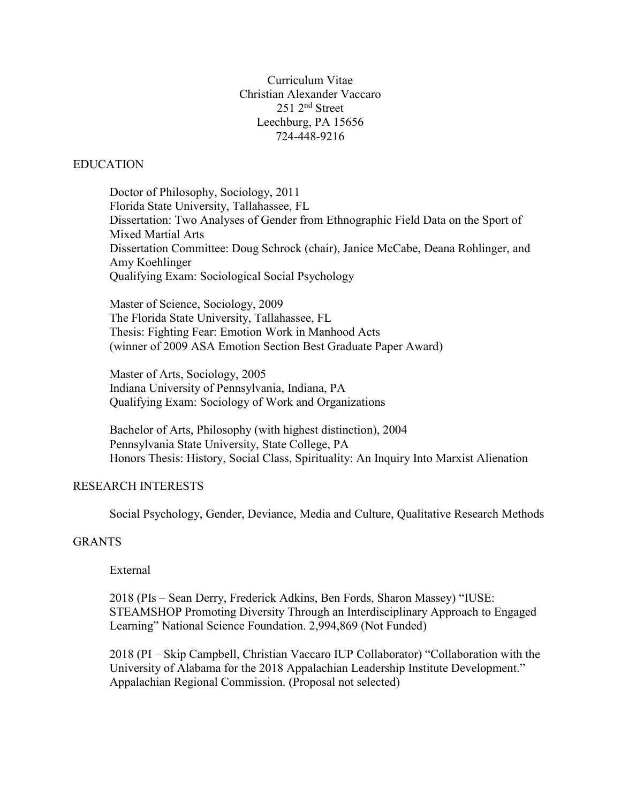Curriculum Vitae Christian Alexander Vaccaro 251 2nd Street Leechburg, PA 15656 724-448-9216

#### **EDUCATION**

Doctor of Philosophy, Sociology, 2011 Florida State University, Tallahassee, FL Dissertation: Two Analyses of Gender from Ethnographic Field Data on the Sport of Mixed Martial Arts Dissertation Committee: Doug Schrock (chair), Janice McCabe, Deana Rohlinger, and Amy Koehlinger Qualifying Exam: Sociological Social Psychology

Master of Science, Sociology, 2009 The Florida State University, Tallahassee, FL Thesis: Fighting Fear: Emotion Work in Manhood Acts (winner of 2009 ASA Emotion Section Best Graduate Paper Award)

Master of Arts, Sociology, 2005 Indiana University of Pennsylvania, Indiana, PA Qualifying Exam: Sociology of Work and Organizations

Bachelor of Arts, Philosophy (with highest distinction), 2004 Pennsylvania State University, State College, PA Honors Thesis: History, Social Class, Spirituality: An Inquiry Into Marxist Alienation

#### RESEARCH INTERESTS

Social Psychology, Gender, Deviance, Media and Culture, Qualitative Research Methods

# GRANTS

External

2018 (PIs – Sean Derry, Frederick Adkins, Ben Fords, Sharon Massey) "IUSE: STEAMSHOP Promoting Diversity Through an Interdisciplinary Approach to Engaged Learning" National Science Foundation. 2,994,869 (Not Funded)

2018 (PI – Skip Campbell, Christian Vaccaro IUP Collaborator) "Collaboration with the University of Alabama for the 2018 Appalachian Leadership Institute Development." Appalachian Regional Commission. (Proposal not selected)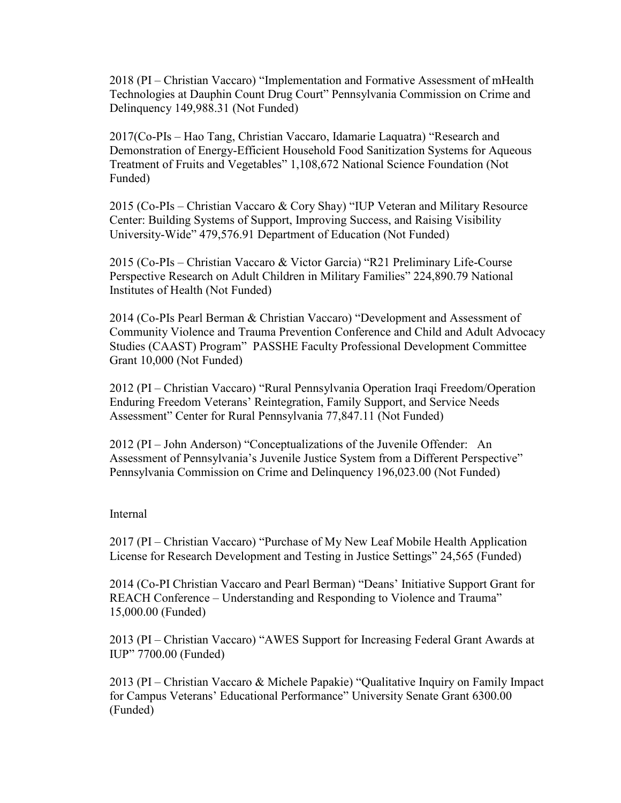2018 (PI – Christian Vaccaro) "Implementation and Formative Assessment of mHealth Technologies at Dauphin Count Drug Court" Pennsylvania Commission on Crime and Delinquency 149,988.31 (Not Funded)

2017(Co-PIs – Hao Tang, Christian Vaccaro, Idamarie Laquatra) "Research and Demonstration of Energy-Efficient Household Food Sanitization Systems for Aqueous Treatment of Fruits and Vegetables" 1,108,672 National Science Foundation (Not Funded)

2015 (Co-PIs – Christian Vaccaro & Cory Shay) "IUP Veteran and Military Resource Center: Building Systems of Support, Improving Success, and Raising Visibility University-Wide" 479,576.91 Department of Education (Not Funded)

2015 (Co-PIs – Christian Vaccaro & Victor Garcia) "R21 Preliminary Life-Course Perspective Research on Adult Children in Military Families" 224,890.79 National Institutes of Health (Not Funded)

2014 (Co-PIs Pearl Berman & Christian Vaccaro) "Development and Assessment of Community Violence and Trauma Prevention Conference and Child and Adult Advocacy Studies (CAAST) Program" PASSHE Faculty Professional Development Committee Grant 10,000 (Not Funded)

2012 (PI – Christian Vaccaro) "Rural Pennsylvania Operation Iraqi Freedom/Operation Enduring Freedom Veterans' Reintegration, Family Support, and Service Needs Assessment" Center for Rural Pennsylvania 77,847.11 (Not Funded)

2012 (PI – John Anderson) "Conceptualizations of the Juvenile Offender: An Assessment of Pennsylvania's Juvenile Justice System from a Different Perspective" Pennsylvania Commission on Crime and Delinquency 196,023.00 (Not Funded)

#### Internal

2017 (PI – Christian Vaccaro) "Purchase of My New Leaf Mobile Health Application License for Research Development and Testing in Justice Settings" 24,565 (Funded)

2014 (Co-PI Christian Vaccaro and Pearl Berman) "Deans' Initiative Support Grant for REACH Conference – Understanding and Responding to Violence and Trauma" 15,000.00 (Funded)

2013 (PI – Christian Vaccaro) "AWES Support for Increasing Federal Grant Awards at IUP" 7700.00 (Funded)

2013 (PI – Christian Vaccaro & Michele Papakie) "Qualitative Inquiry on Family Impact for Campus Veterans' Educational Performance" University Senate Grant 6300.00 (Funded)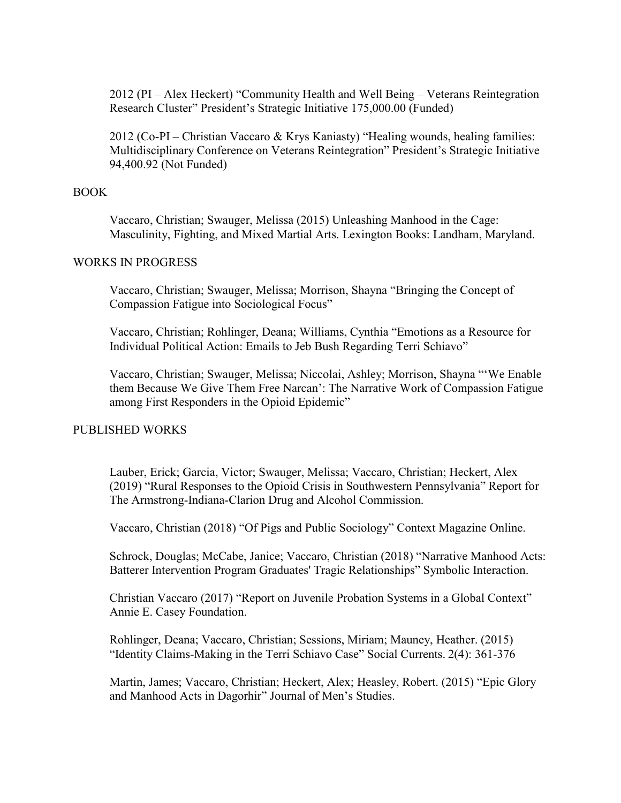2012 (PI – Alex Heckert) "Community Health and Well Being – Veterans Reintegration Research Cluster" President's Strategic Initiative 175,000.00 (Funded)

2012 (Co-PI – Christian Vaccaro & Krys Kaniasty) "Healing wounds, healing families: Multidisciplinary Conference on Veterans Reintegration" President's Strategic Initiative 94,400.92 (Not Funded)

## BOOK

Vaccaro, Christian; Swauger, Melissa (2015) Unleashing Manhood in the Cage: Masculinity, Fighting, and Mixed Martial Arts. Lexington Books: Landham, Maryland.

## WORKS IN PROGRESS

Vaccaro, Christian; Swauger, Melissa; Morrison, Shayna "Bringing the Concept of Compassion Fatigue into Sociological Focus"

Vaccaro, Christian; Rohlinger, Deana; Williams, Cynthia "Emotions as a Resource for Individual Political Action: Emails to Jeb Bush Regarding Terri Schiavo"

Vaccaro, Christian; Swauger, Melissa; Niccolai, Ashley; Morrison, Shayna "'We Enable them Because We Give Them Free Narcan': The Narrative Work of Compassion Fatigue among First Responders in the Opioid Epidemic"

# PUBLISHED WORKS

Lauber, Erick; Garcia, Victor; Swauger, Melissa; Vaccaro, Christian; Heckert, Alex (2019) "Rural Responses to the Opioid Crisis in Southwestern Pennsylvania" Report for The Armstrong-Indiana-Clarion Drug and Alcohol Commission.

Vaccaro, Christian (2018) "Of Pigs and Public Sociology" Context Magazine Online.

Schrock, Douglas; McCabe, Janice; Vaccaro, Christian (2018) "Narrative Manhood Acts: Batterer Intervention Program Graduates' Tragic Relationships" Symbolic Interaction.

Christian Vaccaro (2017) "Report on Juvenile Probation Systems in a Global Context" Annie E. Casey Foundation.

Rohlinger, Deana; Vaccaro, Christian; Sessions, Miriam; Mauney, Heather. (2015) "Identity Claims-Making in the Terri Schiavo Case" Social Currents. 2(4): 361-376

Martin, James; Vaccaro, Christian; Heckert, Alex; Heasley, Robert. (2015) "Epic Glory and Manhood Acts in Dagorhir" Journal of Men's Studies.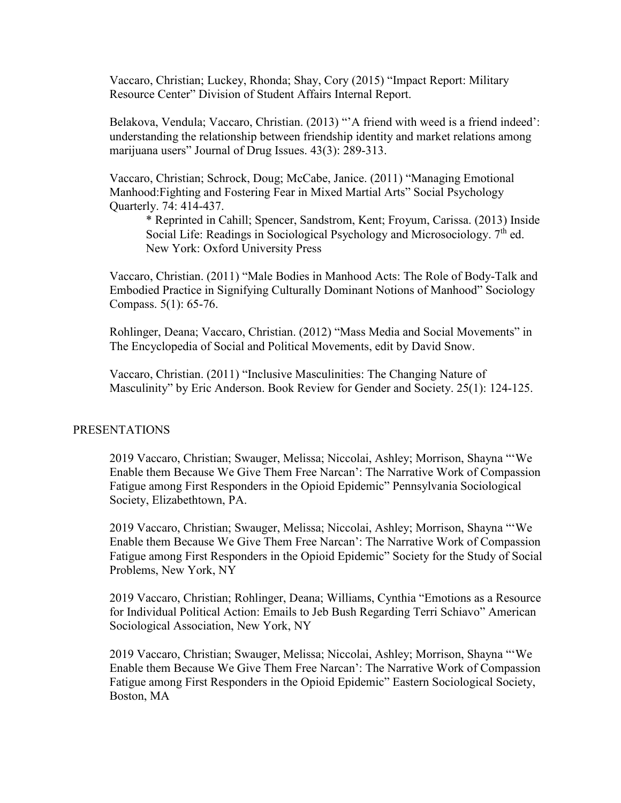Vaccaro, Christian; Luckey, Rhonda; Shay, Cory (2015) "Impact Report: Military Resource Center" Division of Student Affairs Internal Report.

Belakova, Vendula; Vaccaro, Christian. (2013) "'A friend with weed is a friend indeed': understanding the relationship between friendship identity and market relations among marijuana users" Journal of Drug Issues. 43(3): 289-313.

Vaccaro, Christian; Schrock, Doug; McCabe, Janice. (2011) "Managing Emotional Manhood:Fighting and Fostering Fear in Mixed Martial Arts" Social Psychology Quarterly. 74: 414-437.

\* Reprinted in Cahill; Spencer, Sandstrom, Kent; Froyum, Carissa. (2013) Inside Social Life: Readings in Sociological Psychology and Microsociology.  $7<sup>th</sup>$  ed. New York: Oxford University Press

Vaccaro, Christian. (2011) "Male Bodies in Manhood Acts: The Role of Body-Talk and Embodied Practice in Signifying Culturally Dominant Notions of Manhood" Sociology Compass. 5(1): 65-76.

Rohlinger, Deana; Vaccaro, Christian. (2012) "Mass Media and Social Movements" in The Encyclopedia of Social and Political Movements, edit by David Snow.

Vaccaro, Christian. (2011) "Inclusive Masculinities: The Changing Nature of Masculinity" by Eric Anderson. Book Review for Gender and Society. 25(1): 124-125.

#### PRESENTATIONS

2019 Vaccaro, Christian; Swauger, Melissa; Niccolai, Ashley; Morrison, Shayna "'We Enable them Because We Give Them Free Narcan': The Narrative Work of Compassion Fatigue among First Responders in the Opioid Epidemic" Pennsylvania Sociological Society, Elizabethtown, PA.

2019 Vaccaro, Christian; Swauger, Melissa; Niccolai, Ashley; Morrison, Shayna "'We Enable them Because We Give Them Free Narcan': The Narrative Work of Compassion Fatigue among First Responders in the Opioid Epidemic" Society for the Study of Social Problems, New York, NY

2019 Vaccaro, Christian; Rohlinger, Deana; Williams, Cynthia "Emotions as a Resource for Individual Political Action: Emails to Jeb Bush Regarding Terri Schiavo" American Sociological Association, New York, NY

2019 Vaccaro, Christian; Swauger, Melissa; Niccolai, Ashley; Morrison, Shayna "'We Enable them Because We Give Them Free Narcan': The Narrative Work of Compassion Fatigue among First Responders in the Opioid Epidemic" Eastern Sociological Society, Boston, MA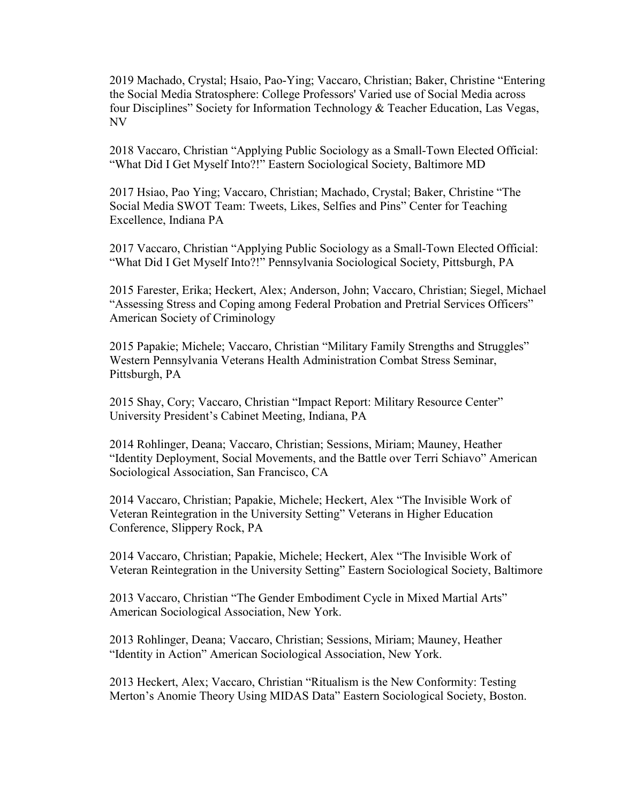2019 Machado, Crystal; Hsaio, Pao-Ying; Vaccaro, Christian; Baker, Christine "Entering the Social Media Stratosphere: College Professors' Varied use of Social Media across four Disciplines" Society for Information Technology & Teacher Education, Las Vegas, NV

2018 Vaccaro, Christian "Applying Public Sociology as a Small-Town Elected Official: "What Did I Get Myself Into?!" Eastern Sociological Society, Baltimore MD

2017 Hsiao, Pao Ying; Vaccaro, Christian; Machado, Crystal; Baker, Christine "The Social Media SWOT Team: Tweets, Likes, Selfies and Pins" Center for Teaching Excellence, Indiana PA

2017 Vaccaro, Christian "Applying Public Sociology as a Small-Town Elected Official: "What Did I Get Myself Into?!" Pennsylvania Sociological Society, Pittsburgh, PA

2015 Farester, Erika; Heckert, Alex; Anderson, John; Vaccaro, Christian; Siegel, Michael "Assessing Stress and Coping among Federal Probation and Pretrial Services Officers" American Society of Criminology

2015 Papakie; Michele; Vaccaro, Christian "Military Family Strengths and Struggles" Western Pennsylvania Veterans Health Administration Combat Stress Seminar, Pittsburgh, PA

2015 Shay, Cory; Vaccaro, Christian "Impact Report: Military Resource Center" University President's Cabinet Meeting, Indiana, PA

2014 Rohlinger, Deana; Vaccaro, Christian; Sessions, Miriam; Mauney, Heather "Identity Deployment, Social Movements, and the Battle over Terri Schiavo" American Sociological Association, San Francisco, CA

2014 Vaccaro, Christian; Papakie, Michele; Heckert, Alex "The Invisible Work of Veteran Reintegration in the University Setting" Veterans in Higher Education Conference, Slippery Rock, PA

2014 Vaccaro, Christian; Papakie, Michele; Heckert, Alex "The Invisible Work of Veteran Reintegration in the University Setting" Eastern Sociological Society, Baltimore

2013 Vaccaro, Christian "The Gender Embodiment Cycle in Mixed Martial Arts" American Sociological Association, New York.

2013 Rohlinger, Deana; Vaccaro, Christian; Sessions, Miriam; Mauney, Heather "Identity in Action" American Sociological Association, New York.

2013 Heckert, Alex; Vaccaro, Christian "Ritualism is the New Conformity: Testing Merton's Anomie Theory Using MIDAS Data" Eastern Sociological Society, Boston.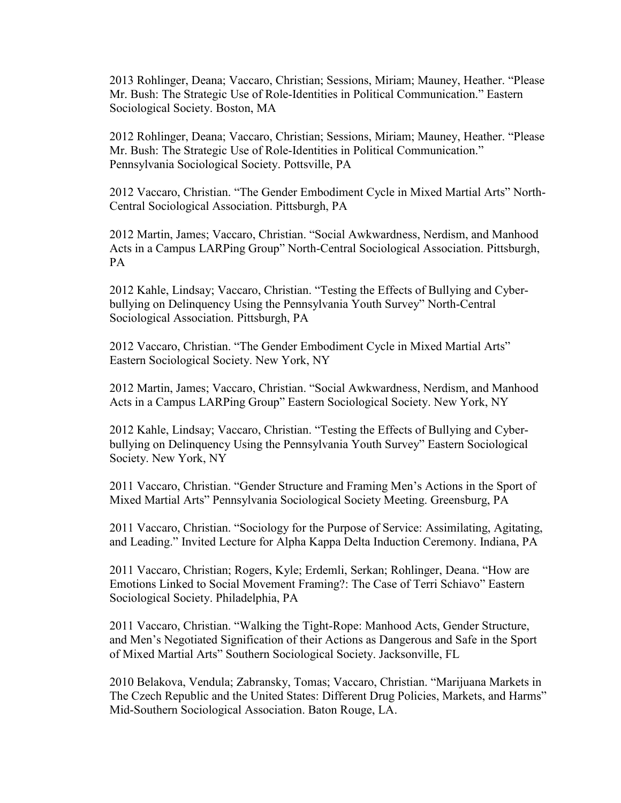2013 Rohlinger, Deana; Vaccaro, Christian; Sessions, Miriam; Mauney, Heather. "Please Mr. Bush: The Strategic Use of Role-Identities in Political Communication." Eastern Sociological Society. Boston, MA

2012 Rohlinger, Deana; Vaccaro, Christian; Sessions, Miriam; Mauney, Heather. "Please Mr. Bush: The Strategic Use of Role-Identities in Political Communication." Pennsylvania Sociological Society. Pottsville, PA

2012 Vaccaro, Christian. "The Gender Embodiment Cycle in Mixed Martial Arts" North-Central Sociological Association. Pittsburgh, PA

2012 Martin, James; Vaccaro, Christian. "Social Awkwardness, Nerdism, and Manhood Acts in a Campus LARPing Group" North-Central Sociological Association. Pittsburgh, PA

2012 Kahle, Lindsay; Vaccaro, Christian. "Testing the Effects of Bullying and Cyberbullying on Delinquency Using the Pennsylvania Youth Survey" North-Central Sociological Association. Pittsburgh, PA

2012 Vaccaro, Christian. "The Gender Embodiment Cycle in Mixed Martial Arts" Eastern Sociological Society. New York, NY

2012 Martin, James; Vaccaro, Christian. "Social Awkwardness, Nerdism, and Manhood Acts in a Campus LARPing Group" Eastern Sociological Society. New York, NY

2012 Kahle, Lindsay; Vaccaro, Christian. "Testing the Effects of Bullying and Cyberbullying on Delinquency Using the Pennsylvania Youth Survey" Eastern Sociological Society. New York, NY

2011 Vaccaro, Christian. "Gender Structure and Framing Men's Actions in the Sport of Mixed Martial Arts" Pennsylvania Sociological Society Meeting. Greensburg, PA

2011 Vaccaro, Christian. "Sociology for the Purpose of Service: Assimilating, Agitating, and Leading." Invited Lecture for Alpha Kappa Delta Induction Ceremony. Indiana, PA

2011 Vaccaro, Christian; Rogers, Kyle; Erdemli, Serkan; Rohlinger, Deana. "How are Emotions Linked to Social Movement Framing?: The Case of Terri Schiavo" Eastern Sociological Society. Philadelphia, PA

2011 Vaccaro, Christian. "Walking the Tight-Rope: Manhood Acts, Gender Structure, and Men's Negotiated Signification of their Actions as Dangerous and Safe in the Sport of Mixed Martial Arts" Southern Sociological Society. Jacksonville, FL

2010 Belakova, Vendula; Zabransky, Tomas; Vaccaro, Christian. "Marijuana Markets in The Czech Republic and the United States: Different Drug Policies, Markets, and Harms" Mid-Southern Sociological Association. Baton Rouge, LA.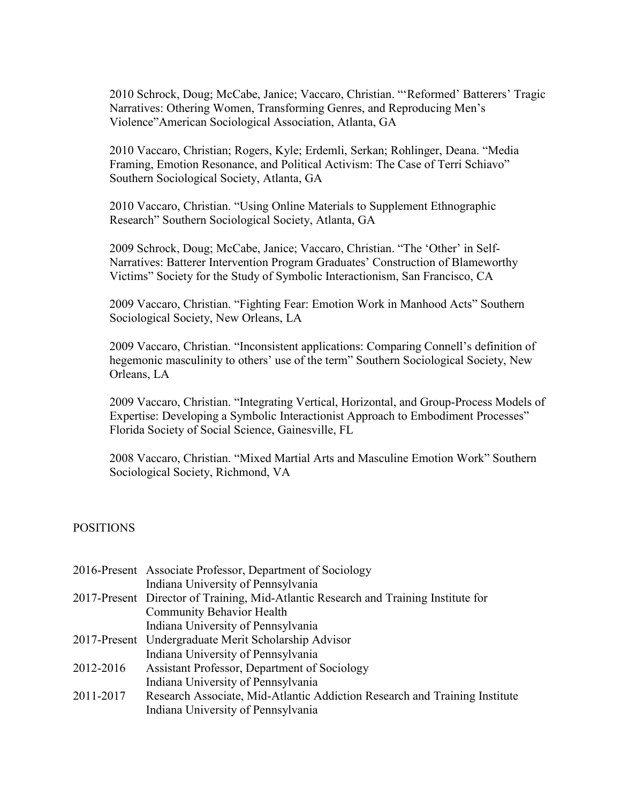2010 Schrock, Doug; McCabe, Janice; Vaccaro, Christian. "'Reformed' Batterers' Tragic Narratives: Othering Women, Transforming Genres, and Reproducing Men's Violence"American Sociological Association, Atlanta, GA

2010 Vaccaro, Christian; Rogers, Kyle; Erdemli, Serkan; Rohlinger, Deana. "Media Framing, Emotion Resonance, and Political Activism: The Case of Terri Schiavo" Southern Sociological Society, Atlanta, GA

2010 Vaccaro, Christian. "Using Online Materials to Supplement Ethnographic Research" Southern Sociological Society, Atlanta, GA

2009 Schrock, Doug; McCabe, Janice; Vaccaro, Christian. "The 'Other' in Self-Narratives: Batterer Intervention Program Graduates' Construction of Blameworthy Victims" Society for the Study of Symbolic Interactionism, San Francisco, CA

2009 Vaccaro, Christian. "Fighting Fear: Emotion Work in Manhood Acts" Southern Sociological Society, New Orleans, LA

2009 Vaccaro, Christian. "Inconsistent applications: Comparing Connell's definition of hegemonic masculinity to others' use of the term" Southern Sociological Society, New Orleans, LA

2009 Vaccaro, Christian. "Integrating Vertical, Horizontal, and Group-Process Models of Expertise: Developing a Symbolic Interactionist Approach to Embodiment Processes" Florida Society of Social Science, Gainesville, FL

2008 Vaccaro, Christian. "Mixed Martial Arts and Masculine Emotion Work" Southern Sociological Society, Richmond, VA

# POSITIONS

|           | 2016-Present Associate Professor, Department of Sociology                           |
|-----------|-------------------------------------------------------------------------------------|
|           | Indiana University of Pennsylvania                                                  |
|           | 2017-Present Director of Training, Mid-Atlantic Research and Training Institute for |
|           | <b>Community Behavior Health</b>                                                    |
|           | Indiana University of Pennsylvania                                                  |
|           | 2017-Present Undergraduate Merit Scholarship Advisor                                |
|           | Indiana University of Pennsylvania                                                  |
| 2012-2016 | Assistant Professor, Department of Sociology                                        |
|           | Indiana University of Pennsylvania                                                  |
| 2011-2017 | Research Associate, Mid-Atlantic Addiction Research and Training Institute          |
|           | Indiana University of Pennsylvania                                                  |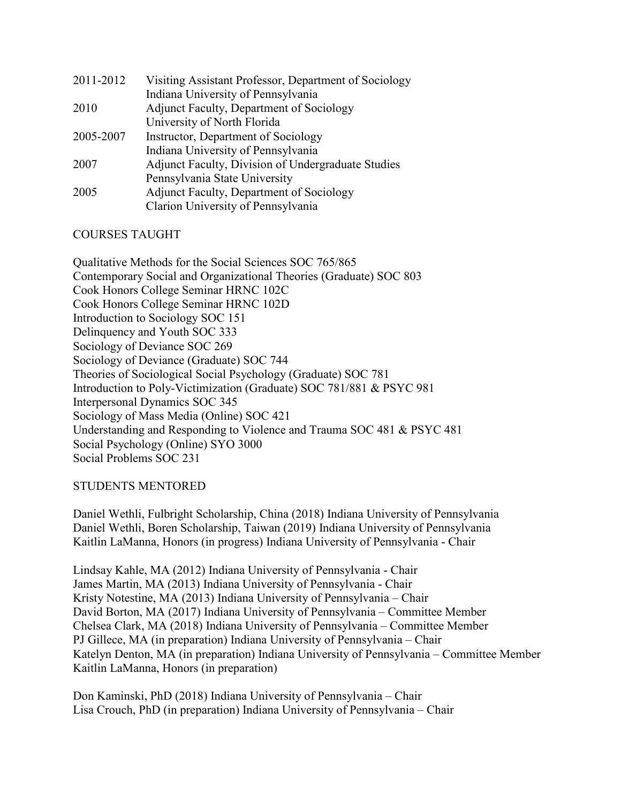| 2011-2012 | Visiting Assistant Professor, Department of Sociology |
|-----------|-------------------------------------------------------|
|           | Indiana University of Pennsylvania                    |
| 2010      | Adjunct Faculty, Department of Sociology              |
|           | University of North Florida                           |
| 2005-2007 | Instructor, Department of Sociology                   |
|           | Indiana University of Pennsylvania                    |
| 2007      | Adjunct Faculty, Division of Undergraduate Studies    |
|           | Pennsylvania State University                         |
| 2005      | Adjunct Faculty, Department of Sociology              |
|           | Clarion University of Pennsylvania                    |

# COURSES TAUGHT

Qualitative Methods for the Social Sciences SOC 765/865 Contemporary Social and Organizational Theories (Graduate) SOC 803 Cook Honors College Seminar HRNC 102C Cook Honors College Seminar HRNC 102D Introduction to Sociology SOC 151 Delinquency and Youth SOC 333 Sociology of Deviance SOC 269 Sociology of Deviance (Graduate) SOC 744 Theories of Sociological Social Psychology (Graduate) SOC 781 Introduction to Poly-Victimization (Graduate) SOC 781/881 & PSYC 981 Interpersonal Dynamics SOC 345 Sociology of Mass Media (Online) SOC 421 Understanding and Responding to Violence and Trauma SOC 481 & PSYC 481 Social Psychology (Online) SYO 3000 Social Problems SOC 231

# STUDENTS MENTORED

Daniel Wethli, Fulbright Scholarship, China (2018) Indiana University of Pennsylvania Daniel Wethli, Boren Scholarship, Taiwan (2019) Indiana University of Pennsylvania Kaitlin LaManna, Honors (in progress) Indiana University of Pennsylvania - Chair

Lindsay Kahle, MA (2012) Indiana University of Pennsylvania - Chair James Martin, MA (2013) Indiana University of Pennsylvania - Chair Kristy Notestine, MA (2013) Indiana University of Pennsylvania – Chair David Borton, MA (2017) Indiana University of Pennsylvania – Committee Member Chelsea Clark, MA (2018) Indiana University of Pennsylvania – Committee Member PJ Gillece, MA (in preparation) Indiana University of Pennsylvania – Chair Katelyn Denton, MA (in preparation) Indiana University of Pennsylvania – Committee Member Kaitlin LaManna, Honors (in preparation)

Don Kaminski, PhD (2018) Indiana University of Pennsylvania – Chair Lisa Crouch, PhD (in preparation) Indiana University of Pennsylvania – Chair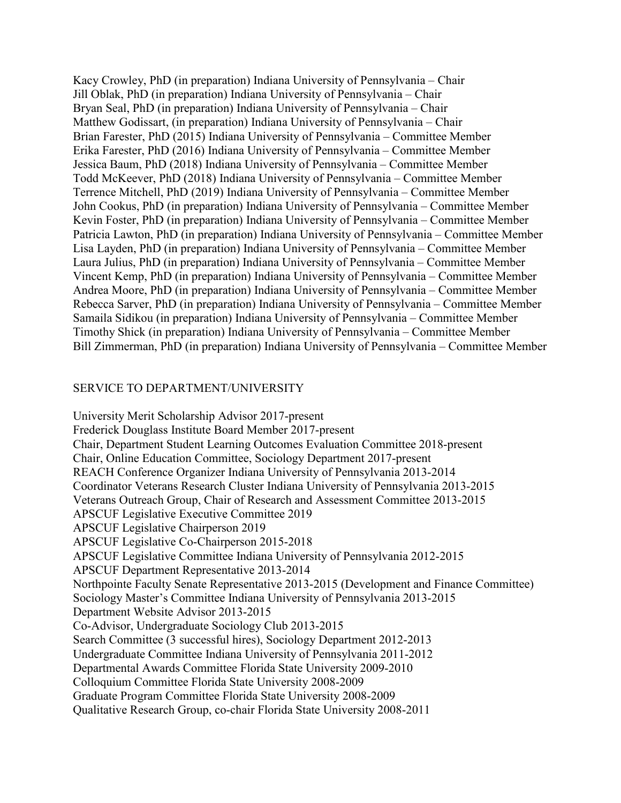Kacy Crowley, PhD (in preparation) Indiana University of Pennsylvania – Chair Jill Oblak, PhD (in preparation) Indiana University of Pennsylvania – Chair Bryan Seal, PhD (in preparation) Indiana University of Pennsylvania – Chair Matthew Godissart, (in preparation) Indiana University of Pennsylvania – Chair Brian Farester, PhD (2015) Indiana University of Pennsylvania – Committee Member Erika Farester, PhD (2016) Indiana University of Pennsylvania – Committee Member Jessica Baum, PhD (2018) Indiana University of Pennsylvania – Committee Member Todd McKeever, PhD (2018) Indiana University of Pennsylvania – Committee Member Terrence Mitchell, PhD (2019) Indiana University of Pennsylvania – Committee Member John Cookus, PhD (in preparation) Indiana University of Pennsylvania – Committee Member Kevin Foster, PhD (in preparation) Indiana University of Pennsylvania – Committee Member Patricia Lawton, PhD (in preparation) Indiana University of Pennsylvania – Committee Member Lisa Layden, PhD (in preparation) Indiana University of Pennsylvania – Committee Member Laura Julius, PhD (in preparation) Indiana University of Pennsylvania – Committee Member Vincent Kemp, PhD (in preparation) Indiana University of Pennsylvania – Committee Member Andrea Moore, PhD (in preparation) Indiana University of Pennsylvania – Committee Member Rebecca Sarver, PhD (in preparation) Indiana University of Pennsylvania – Committee Member Samaila Sidikou (in preparation) Indiana University of Pennsylvania – Committee Member Timothy Shick (in preparation) Indiana University of Pennsylvania – Committee Member Bill Zimmerman, PhD (in preparation) Indiana University of Pennsylvania – Committee Member

# SERVICE TO DEPARTMENT/UNIVERSITY

University Merit Scholarship Advisor 2017-present Frederick Douglass Institute Board Member 2017-present Chair, Department Student Learning Outcomes Evaluation Committee 2018-present Chair, Online Education Committee, Sociology Department 2017-present REACH Conference Organizer Indiana University of Pennsylvania 2013-2014 Coordinator Veterans Research Cluster Indiana University of Pennsylvania 2013-2015 Veterans Outreach Group, Chair of Research and Assessment Committee 2013-2015 APSCUF Legislative Executive Committee 2019 APSCUF Legislative Chairperson 2019 APSCUF Legislative Co-Chairperson 2015-2018 APSCUF Legislative Committee Indiana University of Pennsylvania 2012-2015 APSCUF Department Representative 2013-2014 Northpointe Faculty Senate Representative 2013-2015 (Development and Finance Committee) Sociology Master's Committee Indiana University of Pennsylvania 2013-2015 Department Website Advisor 2013-2015 Co-Advisor, Undergraduate Sociology Club 2013-2015 Search Committee (3 successful hires), Sociology Department 2012-2013 Undergraduate Committee Indiana University of Pennsylvania 2011-2012 Departmental Awards Committee Florida State University 2009-2010 Colloquium Committee Florida State University 2008-2009 Graduate Program Committee Florida State University 2008-2009 Qualitative Research Group, co-chair Florida State University 2008-2011